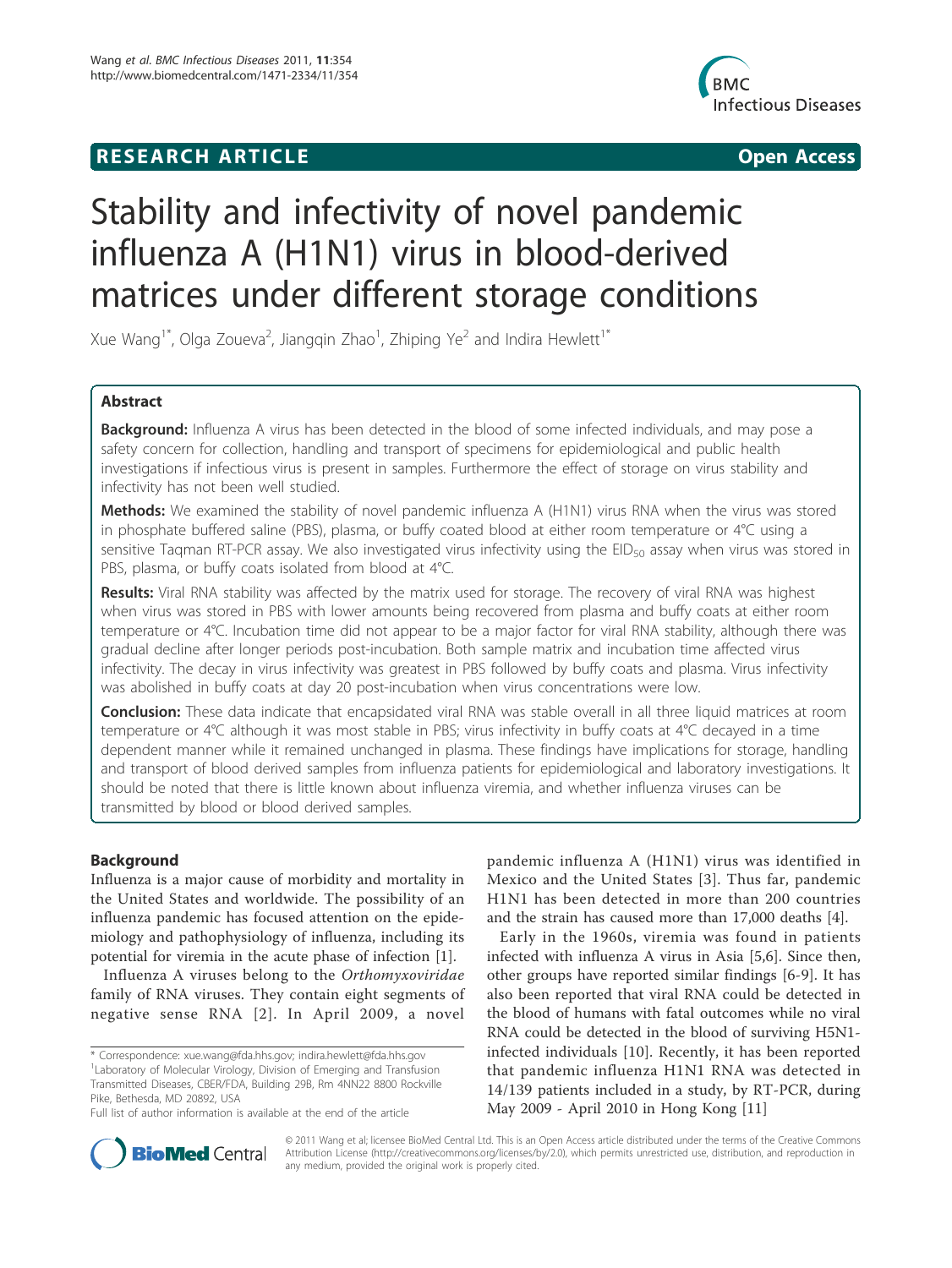## **RESEARCH ARTICLE Example 2014 CONSUMING ACCESS**



# Stability and infectivity of novel pandemic influenza A (H1N1) virus in blood-derived matrices under different storage conditions

Xue Wang<sup>1\*</sup>, Olga Zoueva<sup>2</sup>, Jiangqin Zhao<sup>1</sup>, Zhiping Ye<sup>2</sup> and Indira Hewlett<sup>1\*</sup>

## Abstract

Background: Influenza A virus has been detected in the blood of some infected individuals, and may pose a safety concern for collection, handling and transport of specimens for epidemiological and public health investigations if infectious virus is present in samples. Furthermore the effect of storage on virus stability and infectivity has not been well studied.

Methods: We examined the stability of novel pandemic influenza A (H1N1) virus RNA when the virus was stored in phosphate buffered saline (PBS), plasma, or buffy coated blood at either room temperature or 4°C using a sensitive Taqman RT-PCR assay. We also investigated virus infectivity using the EID<sub>50</sub> assay when virus was stored in PBS, plasma, or buffy coats isolated from blood at 4°C.

Results: Viral RNA stability was affected by the matrix used for storage. The recovery of viral RNA was highest when virus was stored in PBS with lower amounts being recovered from plasma and buffy coats at either room temperature or 4°C. Incubation time did not appear to be a major factor for viral RNA stability, although there was gradual decline after longer periods post-incubation. Both sample matrix and incubation time affected virus infectivity. The decay in virus infectivity was greatest in PBS followed by buffy coats and plasma. Virus infectivity was abolished in buffy coats at day 20 post-incubation when virus concentrations were low.

**Conclusion:** These data indicate that encapsidated viral RNA was stable overall in all three liquid matrices at room temperature or 4°C although it was most stable in PBS; virus infectivity in buffy coats at 4°C decayed in a time dependent manner while it remained unchanged in plasma. These findings have implications for storage, handling and transport of blood derived samples from influenza patients for epidemiological and laboratory investigations. It should be noted that there is little known about influenza viremia, and whether influenza viruses can be transmitted by blood or blood derived samples.

## Background

Influenza is a major cause of morbidity and mortality in the United States and worldwide. The possibility of an influenza pandemic has focused attention on the epidemiology and pathophysiology of influenza, including its potential for viremia in the acute phase of infection [1].

Influenza A viruses belong to the Orthomyxoviridae family of RNA viruses. They contain eight segments of negative sense RNA [2]. In April 2009, a novel

pandemic influenza A (H1N1) virus was identified in Mexico and the United States [3]. Thus far, pandemic H1N1 has been detected in more than 200 countries and the strain has caused more than 17,000 deaths [4].

Early in the 1960s, viremia was found in patients infected with influenza A virus in Asia [5,6]. Since then, other groups have reported similar findings [6-9]. It has also been reported that viral RNA could be detected in the blood of humans with fatal outcomes while no viral RNA could be detected in the blood of surviving H5N1 infected individuals [10]. Recently, it has been reported that pandemic influenza H1N1 RNA was detected in 14/139 patients included in a study, by RT-PCR, during May 2009 - April 2010 in Hong Kong [11]



© 2011 Wang et al; licensee BioMed Central Ltd. This is an Open Access article distributed under the terms of the Creative Commons Attribution License (http://creativecommons.org/licenses/by/2.0), which permits unrestricted use, distribution, and reproduction in any medium, provided the original work is properly cited.

<sup>\*</sup> Correspondence: xue.wang@fda.hhs.gov; indira.hewlett@fda.hhs.gov <sup>1</sup> Laboratory of Molecular Virology, Division of Emerging and Transfusion Transmitted Diseases, CBER/FDA, Building 29B, Rm 4NN22 8800 Rockville Pike, Bethesda, MD 20892, USA

Full list of author information is available at the end of the article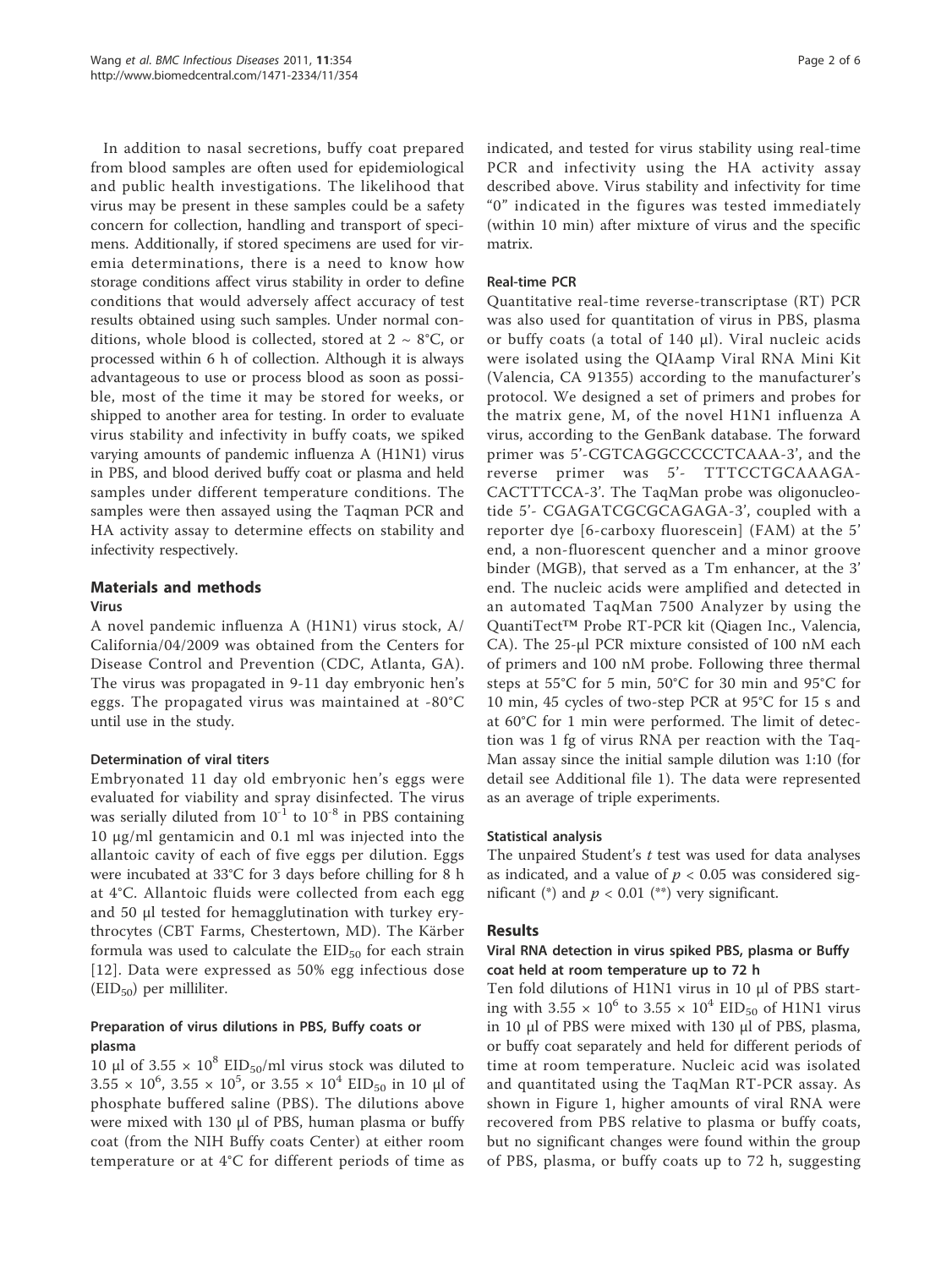In addition to nasal secretions, buffy coat prepared from blood samples are often used for epidemiological and public health investigations. The likelihood that virus may be present in these samples could be a safety concern for collection, handling and transport of specimens. Additionally, if stored specimens are used for viremia determinations, there is a need to know how storage conditions affect virus stability in order to define conditions that would adversely affect accuracy of test results obtained using such samples. Under normal conditions, whole blood is collected, stored at  $2 \sim 8^{\circ}C$ , or processed within 6 h of collection. Although it is always advantageous to use or process blood as soon as possible, most of the time it may be stored for weeks, or shipped to another area for testing. In order to evaluate virus stability and infectivity in buffy coats, we spiked varying amounts of pandemic influenza A (H1N1) virus in PBS, and blood derived buffy coat or plasma and held samples under different temperature conditions. The samples were then assayed using the Taqman PCR and HA activity assay to determine effects on stability and infectivity respectively.

## Materials and methods

#### Virus

A novel pandemic influenza A (H1N1) virus stock, A/ California/04/2009 was obtained from the Centers for Disease Control and Prevention (CDC, Atlanta, GA). The virus was propagated in 9-11 day embryonic hen's eggs. The propagated virus was maintained at -80°C until use in the study.

#### Determination of viral titers

Embryonated 11 day old embryonic hen's eggs were evaluated for viability and spray disinfected. The virus was serially diluted from  $10^{-1}$  to  $10^{-8}$  in PBS containing 10 μg/ml gentamicin and 0.1 ml was injected into the allantoic cavity of each of five eggs per dilution. Eggs were incubated at 33°C for 3 days before chilling for 8 h at 4°C. Allantoic fluids were collected from each egg and 50 μl tested for hemagglutination with turkey erythrocytes (CBT Farms, Chestertown, MD). The Kärber formula was used to calculate the  $EID_{50}$  for each strain [12]. Data were expressed as 50% egg infectious dose  $(EID<sub>50</sub>)$  per milliliter.

## Preparation of virus dilutions in PBS, Buffy coats or plasma

10 μl of  $3.55 \times 10^8$  EID<sub>50</sub>/ml virus stock was diluted to  $3.55 \times 10^6$ ,  $3.55 \times 10^5$ , or  $3.55 \times 10^4$  EID<sub>50</sub> in 10 µl of phosphate buffered saline (PBS). The dilutions above were mixed with 130 μl of PBS, human plasma or buffy coat (from the NIH Buffy coats Center) at either room temperature or at 4°C for different periods of time as indicated, and tested for virus stability using real-time PCR and infectivity using the HA activity assay described above. Virus stability and infectivity for time "0" indicated in the figures was tested immediately (within 10 min) after mixture of virus and the specific matrix.

## Real-time PCR

Quantitative real-time reverse-transcriptase (RT) PCR was also used for quantitation of virus in PBS, plasma or buffy coats (a total of 140 μl). Viral nucleic acids were isolated using the QIAamp Viral RNA Mini Kit (Valencia, CA 91355) according to the manufacturer's protocol. We designed a set of primers and probes for the matrix gene, M, of the novel H1N1 influenza A virus, according to the GenBank database. The forward primer was 5'-CGTCAGGCCCCCTCAAA-3', and the reverse primer was 5'- TTTCCTGCAAAGA-CACTTTCCA-3'. The TaqMan probe was oligonucleotide 5'- CGAGATCGCGCAGAGA-3', coupled with a reporter dye [6-carboxy fluorescein] (FAM) at the 5' end, a non-fluorescent quencher and a minor groove binder (MGB), that served as a Tm enhancer, at the 3' end. The nucleic acids were amplified and detected in an automated TaqMan 7500 Analyzer by using the QuantiTect™ Probe RT-PCR kit (Qiagen Inc., Valencia, CA). The 25-μl PCR mixture consisted of 100 nM each of primers and 100 nM probe. Following three thermal steps at 55°C for 5 min, 50°C for 30 min and 95°C for 10 min, 45 cycles of two-step PCR at 95°C for 15 s and at 60°C for 1 min were performed. The limit of detection was 1 fg of virus RNA per reaction with the Taq-Man assay since the initial sample dilution was 1:10 (for detail see Additional file 1). The data were represented as an average of triple experiments.

#### Statistical analysis

The unpaired Student's  $t$  test was used for data analyses as indicated, and a value of  $p < 0.05$  was considered significant (\*) and  $p < 0.01$  (\*\*) very significant.

#### Results

## Viral RNA detection in virus spiked PBS, plasma or Buffy coat held at room temperature up to 72 h

Ten fold dilutions of H1N1 virus in 10 μl of PBS starting with 3.55  $\times$  10<sup>6</sup> to 3.55  $\times$  10<sup>4</sup> EID<sub>50</sub> of H1N1 virus in 10 μl of PBS were mixed with 130 μl of PBS, plasma, or buffy coat separately and held for different periods of time at room temperature. Nucleic acid was isolated and quantitated using the TaqMan RT-PCR assay. As shown in Figure 1, higher amounts of viral RNA were recovered from PBS relative to plasma or buffy coats, but no significant changes were found within the group of PBS, plasma, or buffy coats up to 72 h, suggesting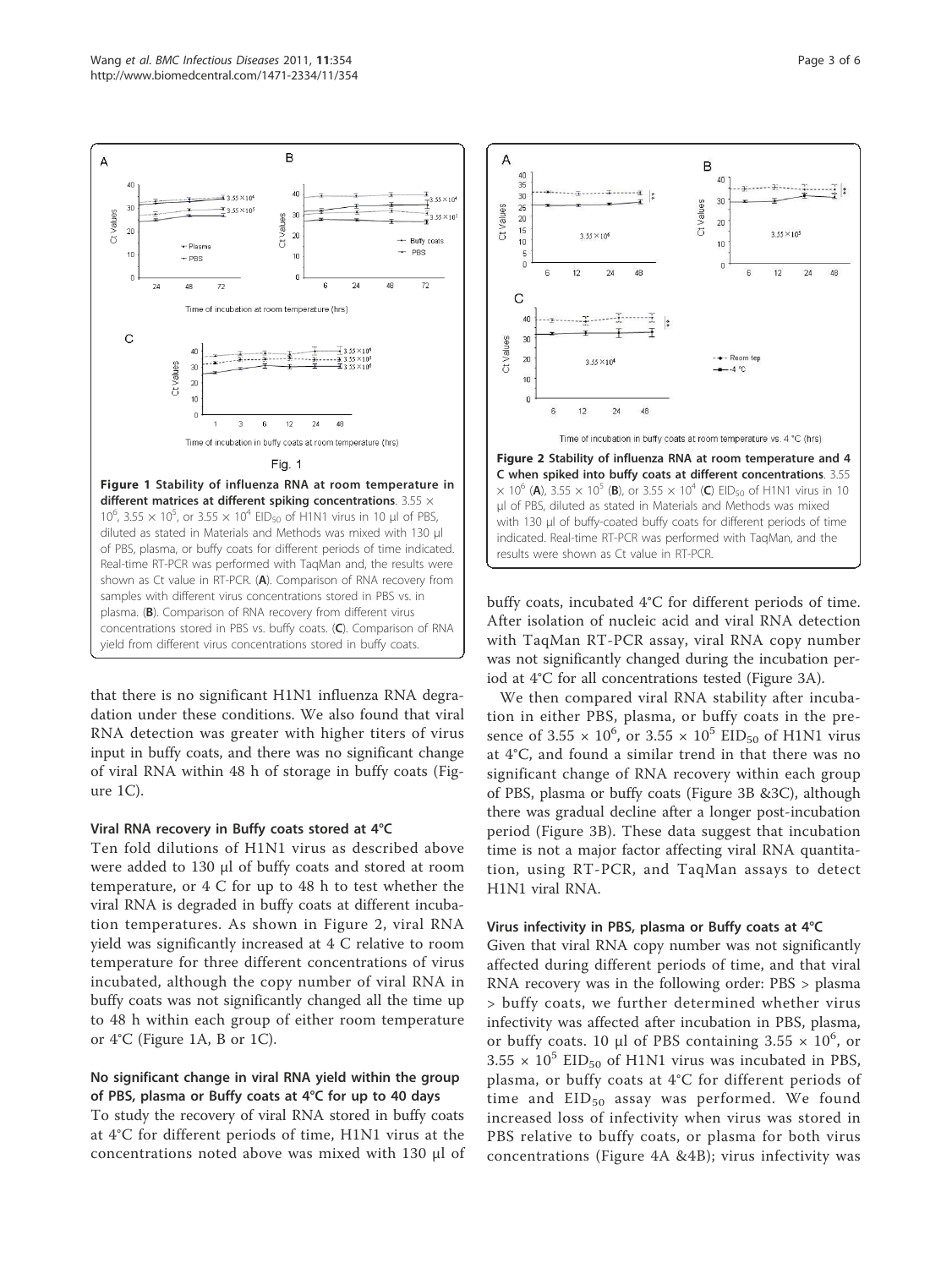that there is no significant H1N1 influenza RNA degradation under these conditions. We also found that viral RNA detection was greater with higher titers of virus input in buffy coats, and there was no significant change of viral RNA within 48 h of storage in buffy coats (Figure 1C).

#### Viral RNA recovery in Buffy coats stored at 4°C

Ten fold dilutions of H1N1 virus as described above were added to 130 μl of buffy coats and stored at room temperature, or 4 C for up to 48 h to test whether the viral RNA is degraded in buffy coats at different incubation temperatures. As shown in Figure 2, viral RNA yield was significantly increased at 4 C relative to room temperature for three different concentrations of virus incubated, although the copy number of viral RNA in buffy coats was not significantly changed all the time up to 48 h within each group of either room temperature or 4°C (Figure 1A, B or 1C).

### No significant change in viral RNA yield within the group of PBS, plasma or Buffy coats at 4°C for up to 40 days

To study the recovery of viral RNA stored in buffy coats at 4°C for different periods of time, H1N1 virus at the concentrations noted above was mixed with 130 μl of buffy coats, incubated 4°C for different periods of time. After isolation of nucleic acid and viral RNA detection with TaqMan RT-PCR assay, viral RNA copy number was not significantly changed during the incubation period at 4°C for all concentrations tested (Figure 3A).

We then compared viral RNA stability after incubation in either PBS, plasma, or buffy coats in the presence of 3.55  $\times$  10<sup>6</sup>, or 3.55  $\times$  10<sup>5</sup> EID<sub>50</sub> of H1N1 virus at 4°C, and found a similar trend in that there was no significant change of RNA recovery within each group of PBS, plasma or buffy coats (Figure 3B &3C), although there was gradual decline after a longer post-incubation period (Figure 3B). These data suggest that incubation time is not a major factor affecting viral RNA quantitation, using RT-PCR, and TaqMan assays to detect H1N1 viral RNA.

#### Virus infectivity in PBS, plasma or Buffy coats at 4°C

Given that viral RNA copy number was not significantly affected during different periods of time, and that viral RNA recovery was in the following order: PBS > plasma > buffy coats, we further determined whether virus infectivity was affected after incubation in PBS, plasma, or buffy coats. 10 µl of PBS containing  $3.55 \times 10^6$ , or  $3.55 \times 10^5$  EID<sub>50</sub> of H1N1 virus was incubated in PBS, plasma, or buffy coats at 4°C for different periods of time and  $EID_{50}$  assay was performed. We found increased loss of infectivity when virus was stored in PBS relative to buffy coats, or plasma for both virus concentrations (Figure 4A &4B); virus infectivity was



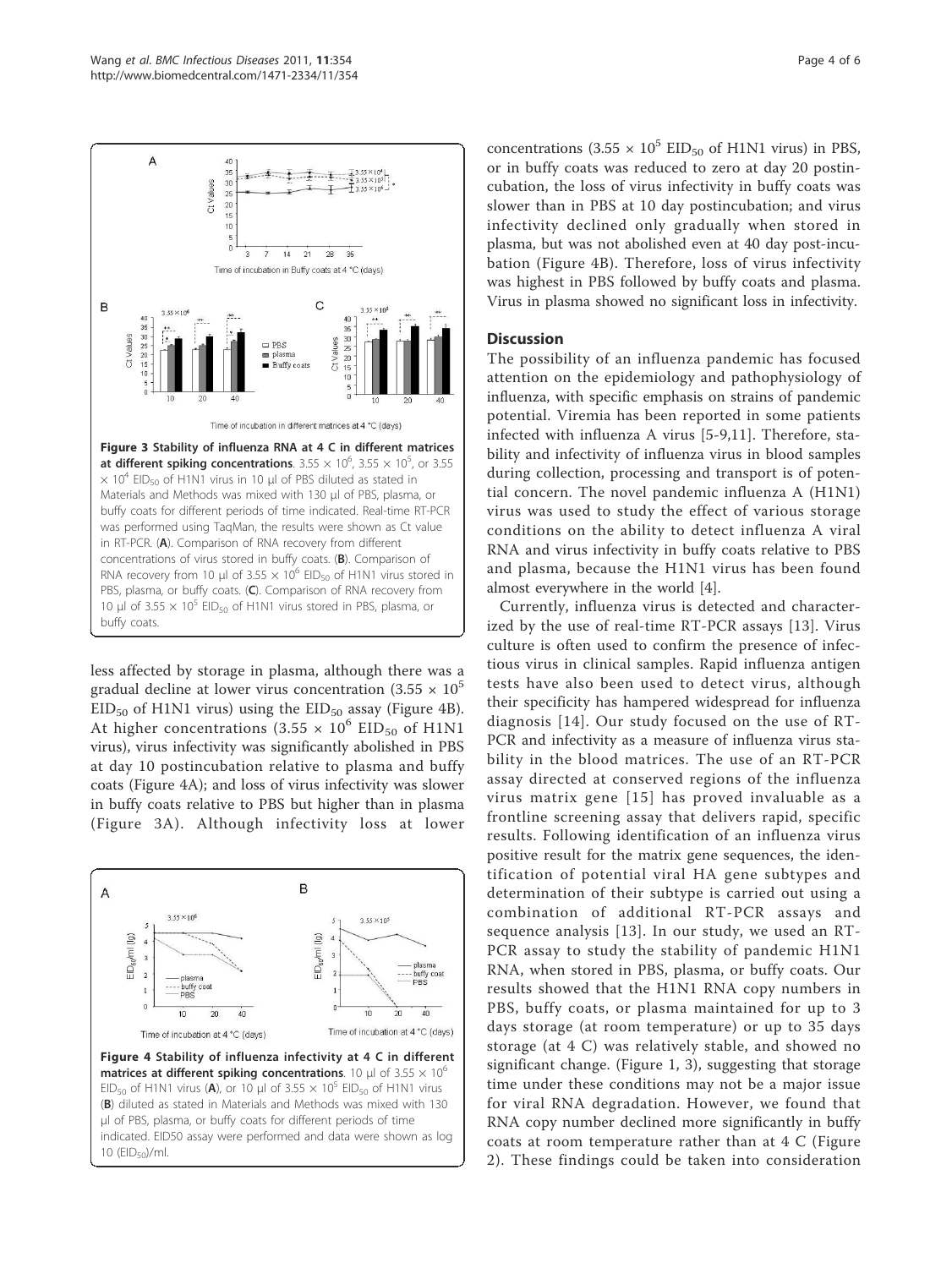

less affected by storage in plasma, although there was a gradual decline at lower virus concentration  $(3.55 \times 10^5$  $EID_{50}$  of H1N1 virus) using the  $EID_{50}$  assay (Figure 4B). At higher concentrations (3.55  $\times$  10<sup>6</sup> EID<sub>50</sub> of H1N1 virus), virus infectivity was significantly abolished in PBS at day 10 postincubation relative to plasma and buffy coats (Figure 4A); and loss of virus infectivity was slower in buffy coats relative to PBS but higher than in plasma (Figure 3A). Although infectivity loss at lower



concentrations  $(3.55 \times 10^5 \text{ EID}_{50} \text{ of H1N1 virus})$  in PBS, or in buffy coats was reduced to zero at day 20 postincubation, the loss of virus infectivity in buffy coats was slower than in PBS at 10 day postincubation; and virus infectivity declined only gradually when stored in plasma, but was not abolished even at 40 day post-incubation (Figure 4B). Therefore, loss of virus infectivity was highest in PBS followed by buffy coats and plasma. Virus in plasma showed no significant loss in infectivity.

## **Discussion**

The possibility of an influenza pandemic has focused attention on the epidemiology and pathophysiology of influenza, with specific emphasis on strains of pandemic potential. Viremia has been reported in some patients infected with influenza A virus [5-9,11]. Therefore, stability and infectivity of influenza virus in blood samples during collection, processing and transport is of potential concern. The novel pandemic influenza A (H1N1) virus was used to study the effect of various storage conditions on the ability to detect influenza A viral RNA and virus infectivity in buffy coats relative to PBS and plasma, because the H1N1 virus has been found almost everywhere in the world [4].

Currently, influenza virus is detected and characterized by the use of real-time RT-PCR assays [13]. Virus culture is often used to confirm the presence of infectious virus in clinical samples. Rapid influenza antigen tests have also been used to detect virus, although their specificity has hampered widespread for influenza diagnosis [14]. Our study focused on the use of RT-PCR and infectivity as a measure of influenza virus stability in the blood matrices. The use of an RT-PCR assay directed at conserved regions of the influenza virus matrix gene [15] has proved invaluable as a frontline screening assay that delivers rapid, specific results. Following identification of an influenza virus positive result for the matrix gene sequences, the identification of potential viral HA gene subtypes and determination of their subtype is carried out using a combination of additional RT-PCR assays and sequence analysis [13]. In our study, we used an RT-PCR assay to study the stability of pandemic H1N1 RNA, when stored in PBS, plasma, or buffy coats. Our results showed that the H1N1 RNA copy numbers in PBS, buffy coats, or plasma maintained for up to 3 days storage (at room temperature) or up to 35 days storage (at 4 C) was relatively stable, and showed no significant change. (Figure 1, 3), suggesting that storage time under these conditions may not be a major issue for viral RNA degradation. However, we found that RNA copy number declined more significantly in buffy coats at room temperature rather than at 4 C (Figure 2). These findings could be taken into consideration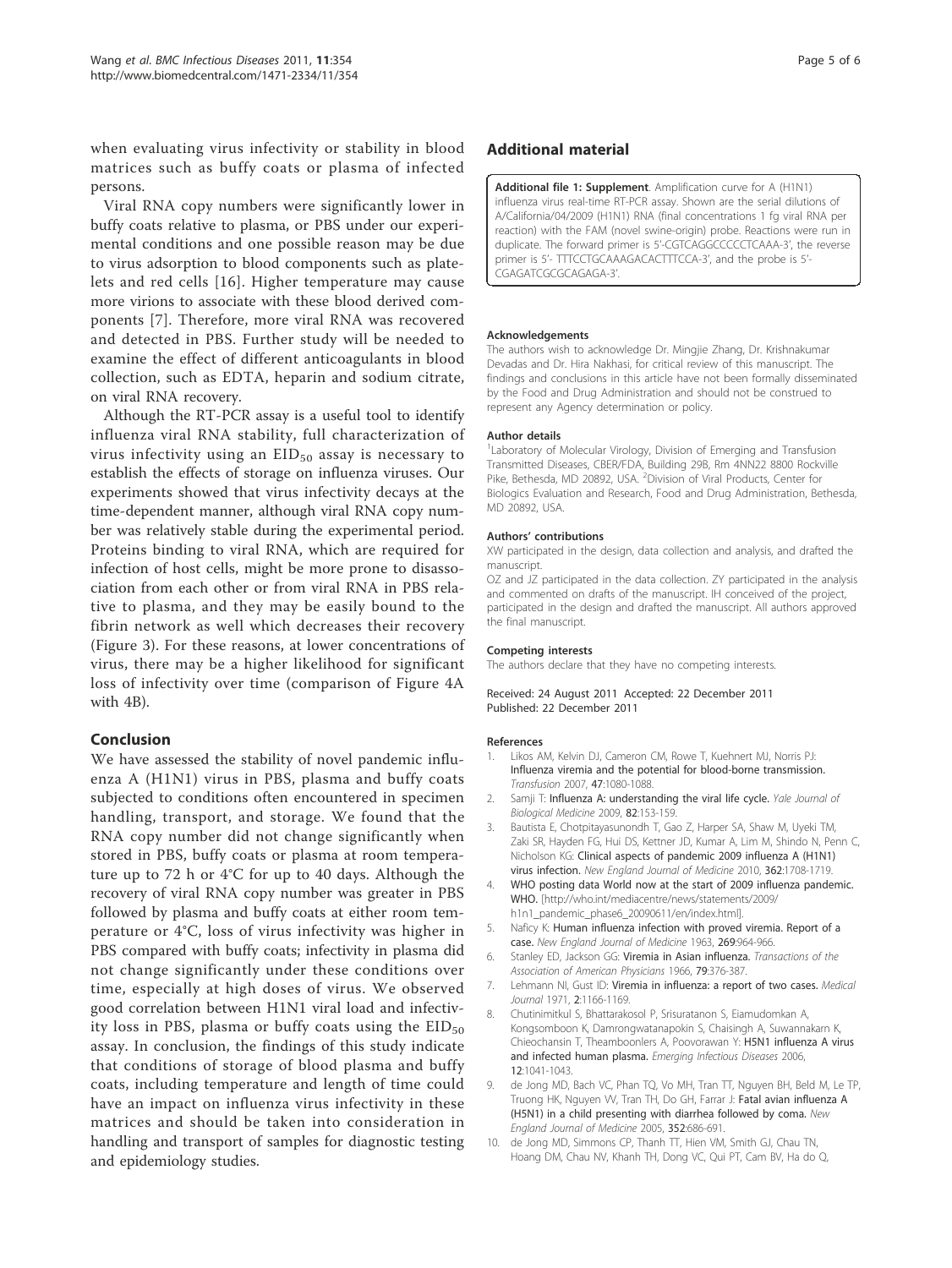when evaluating virus infectivity or stability in blood matrices such as buffy coats or plasma of infected persons.

Viral RNA copy numbers were significantly lower in buffy coats relative to plasma, or PBS under our experimental conditions and one possible reason may be due to virus adsorption to blood components such as platelets and red cells [16]. Higher temperature may cause more virions to associate with these blood derived components [7]. Therefore, more viral RNA was recovered and detected in PBS. Further study will be needed to examine the effect of different anticoagulants in blood collection, such as EDTA, heparin and sodium citrate, on viral RNA recovery.

Although the RT-PCR assay is a useful tool to identify influenza viral RNA stability, full characterization of virus infectivity using an  $EID_{50}$  assay is necessary to establish the effects of storage on influenza viruses. Our experiments showed that virus infectivity decays at the time-dependent manner, although viral RNA copy number was relatively stable during the experimental period. Proteins binding to viral RNA, which are required for infection of host cells, might be more prone to disassociation from each other or from viral RNA in PBS relative to plasma, and they may be easily bound to the fibrin network as well which decreases their recovery (Figure 3). For these reasons, at lower concentrations of virus, there may be a higher likelihood for significant loss of infectivity over time (comparison of Figure 4A with 4B).

#### Conclusion

We have assessed the stability of novel pandemic influenza A (H1N1) virus in PBS, plasma and buffy coats subjected to conditions often encountered in specimen handling, transport, and storage. We found that the RNA copy number did not change significantly when stored in PBS, buffy coats or plasma at room temperature up to 72 h or 4°C for up to 40 days. Although the recovery of viral RNA copy number was greater in PBS followed by plasma and buffy coats at either room temperature or 4°C, loss of virus infectivity was higher in PBS compared with buffy coats; infectivity in plasma did not change significantly under these conditions over time, especially at high doses of virus. We observed good correlation between H1N1 viral load and infectivity loss in PBS, plasma or buffy coats using the  $EID_{50}$ assay. In conclusion, the findings of this study indicate that conditions of storage of blood plasma and buffy coats, including temperature and length of time could have an impact on influenza virus infectivity in these matrices and should be taken into consideration in handling and transport of samples for diagnostic testing and epidemiology studies.

#### Additional material

Additional file 1: Supplement. Amplification curve for A (H1N1) influenza virus real-time RT-PCR assay. Shown are the serial dilutions of A/California/04/2009 (H1N1) RNA (final concentrations 1 fg viral RNA per reaction) with the FAM (novel swine-origin) probe. Reactions were run in duplicate. The forward primer is 5'-CGTCAGGCCCCCTCAAA-3', the reverse primer is 5'- TTTCCTGCAAAGACACTTTCCA-3', and the probe is 5'- CGAGATCGCGCAGAGA-3'.

#### Acknowledgements

The authors wish to acknowledge Dr. Mingjie Zhang, Dr. Krishnakumar Devadas and Dr. Hira Nakhasi, for critical review of this manuscript. The findings and conclusions in this article have not been formally disseminated by the Food and Drug Administration and should not be construed to represent any Agency determination or policy.

#### Author details

<sup>1</sup> Laboratory of Molecular Virology, Division of Emerging and Transfusion Transmitted Diseases, CBER/FDA, Building 29B, Rm 4NN22 8800 Rockville Pike, Bethesda, MD 20892, USA. <sup>2</sup> Division of Viral Products, Center for Biologics Evaluation and Research, Food and Drug Administration, Bethesda, MD 20892, USA.

#### Authors' contributions

XW participated in the design, data collection and analysis, and drafted the manuscript.

OZ and JZ participated in the data collection. ZY participated in the analysis and commented on drafts of the manuscript. IH conceived of the project, participated in the design and drafted the manuscript. All authors approved the final manuscript.

#### Competing interests

The authors declare that they have no competing interests.

#### Received: 24 August 2011 Accepted: 22 December 2011 Published: 22 December 2011

#### References

- 1. Likos AM, Kelvin DJ, Cameron CM, Rowe T, Kuehnert MJ, Norris PJ: Influenza viremia and the potential for blood-borne transmission. Transfusion 2007, 47:1080-1088.
- 2. Samji T: Influenza A: understanding the viral life cycle. Yale Journal of Biological Medicine 2009, 82:153-159.
- 3. Bautista E, Chotpitayasunondh T, Gao Z, Harper SA, Shaw M, Uyeki TM, Zaki SR, Hayden FG, Hui DS, Kettner JD, Kumar A, Lim M, Shindo N, Penn C, Nicholson KG: Clinical aspects of pandemic 2009 influenza A (H1N1) virus infection. New England Journal of Medicine 2010, 362:1708-1719
- 4. WHO posting data World now at the start of 2009 influenza pandemic. WHO. [http://who.int/mediacentre/news/statements/2009/ h1n1\_pandemic\_phase6\_20090611/en/index.html].
- 5. Naficy K: Human influenza infection with proved viremia. Report of a case. New England Journal of Medicine 1963, 269:964-966.
- 6. Stanley ED, Jackson GG: Viremia in Asian influenza. Transactions of the Association of American Physicians 1966, 79:376-387.
- 7. Lehmann NI, Gust ID: Viremia in influenza: a report of two cases. Medical Journal 1971, 2:1166-1169.
- 8. Chutinimitkul S, Bhattarakosol P, Srisuratanon S, Eiamudomkan A, Kongsomboon K, Damrongwatanapokin S, Chaisingh A, Suwannakarn K, Chieochansin T, Theamboonlers A, Poovorawan Y: H5N1 influenza A virus and infected human plasma. Emerging Infectious Diseases 2006, 12:1041-1043.
- 9. de Jong MD, Bach VC, Phan TQ, Vo MH, Tran TT, Nguyen BH, Beld M, Le TP, Truong HK, Nguyen VV, Tran TH, Do GH, Farrar J: Fatal avian influenza A (H5N1) in a child presenting with diarrhea followed by coma. New England Journal of Medicine 2005, 352:686-691.
- 10. de Jong MD, Simmons CP, Thanh TT, Hien VM, Smith GJ, Chau TN, Hoang DM, Chau NV, Khanh TH, Dong VC, Qui PT, Cam BV, Ha do Q,